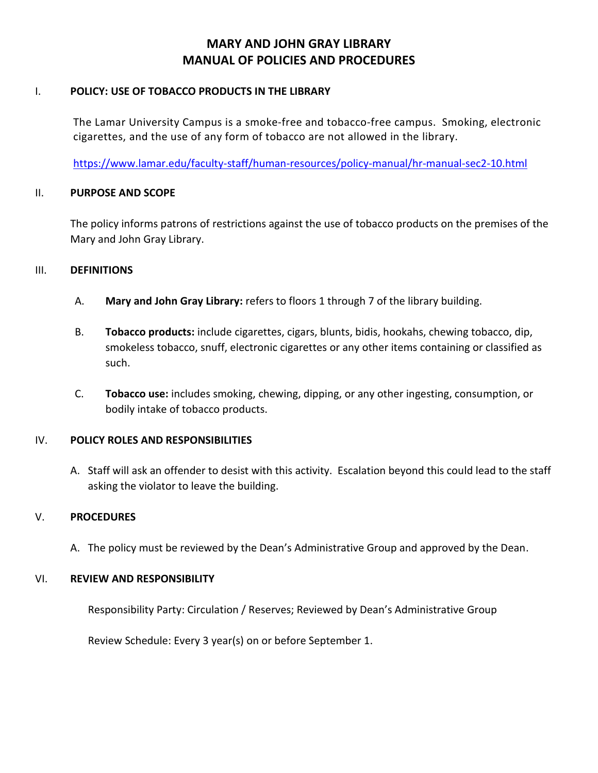## **MARY AND JOHN GRAY LIBRARY MANUAL OF POLICIES AND PROCEDURES**

#### I. **POLICY: USE OF TOBACCO PRODUCTS IN THE LIBRARY**

The Lamar University Campus is a [smoke-free and tobacco-free campus.](https://www.lamar.edu/faculty-staff/human-resources/policy-manual/hr-manual-sec2-10.html#Smoke-free,%20tobacco-free,%20and%20electronic%20cigarette-free%20work%20place) Smoking, electronic cigarettes, and the use of any form of tobacco are not allowed in the library.

<https://www.lamar.edu/faculty-staff/human-resources/policy-manual/hr-manual-sec2-10.html>

#### II. **PURPOSE AND SCOPE**

The policy informs patrons of restrictions against the use of tobacco products on the premises of the Mary and John Gray Library.

#### III. **DEFINITIONS**

- A. **Mary and John Gray Library:** refers to floors 1 through 7 of the library building.
- B. **Tobacco products:** include cigarettes, cigars, blunts, bidis, hookahs, chewing tobacco, dip, smokeless tobacco, snuff, electronic cigarettes or any other items containing or classified as such.
- C. **Tobacco use:** includes smoking, chewing, dipping, or any other ingesting, consumption, or bodily intake of tobacco products.

### IV. **POLICY ROLES AND RESPONSIBILITIES**

A. Staff will ask an offender to desist with this activity. Escalation beyond this could lead to the staff asking the violator to leave the building.

### V. **PROCEDURES**

A. The policy must be reviewed by the Dean's Administrative Group and approved by the Dean.

### VI. **REVIEW AND RESPONSIBILITY**

Responsibility Party: Circulation / Reserves; Reviewed by Dean's Administrative Group

Review Schedule: Every 3 year(s) on or before September 1.